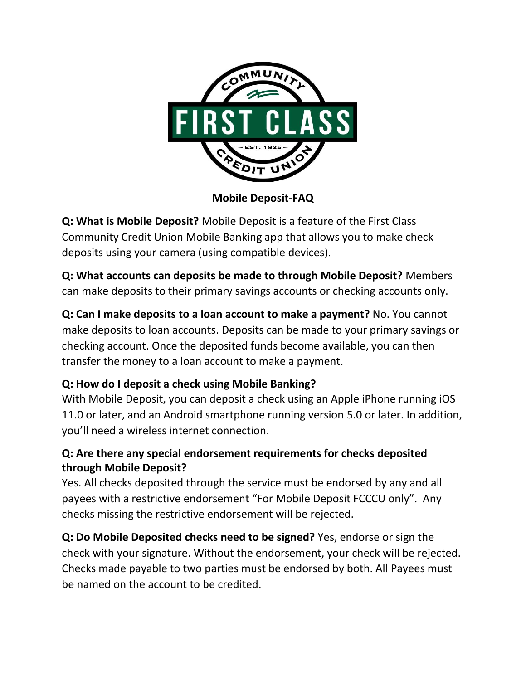

**Mobile Deposit-FAQ**

**Q: What is Mobile Deposit?** Mobile Deposit is a feature of the First Class Community Credit Union Mobile Banking app that allows you to make check deposits using your camera (using compatible devices).

**Q: What accounts can deposits be made to through Mobile Deposit?** Members can make deposits to their primary savings accounts or checking accounts only.

**Q: Can I make deposits to a loan account to make a payment?** No. You cannot make deposits to loan accounts. Deposits can be made to your primary savings or checking account. Once the deposited funds become available, you can then transfer the money to a loan account to make a payment.

### **Q: How do I deposit a check using Mobile Banking?**

With Mobile Deposit, you can deposit a check using an Apple iPhone running iOS 11.0 or later, and an Android smartphone running version 5.0 or later. In addition, you'll need a wireless internet connection.

#### **Q: Are there any special endorsement requirements for checks deposited through Mobile Deposit?**

Yes. All checks deposited through the service must be endorsed by any and all payees with a restrictive endorsement "For Mobile Deposit FCCCU only". Any checks missing the restrictive endorsement will be rejected.

**Q: Do Mobile Deposited checks need to be signed?** Yes, endorse or sign the check with your signature. Without the endorsement, your check will be rejected. Checks made payable to two parties must be endorsed by both. All Payees must be named on the account to be credited.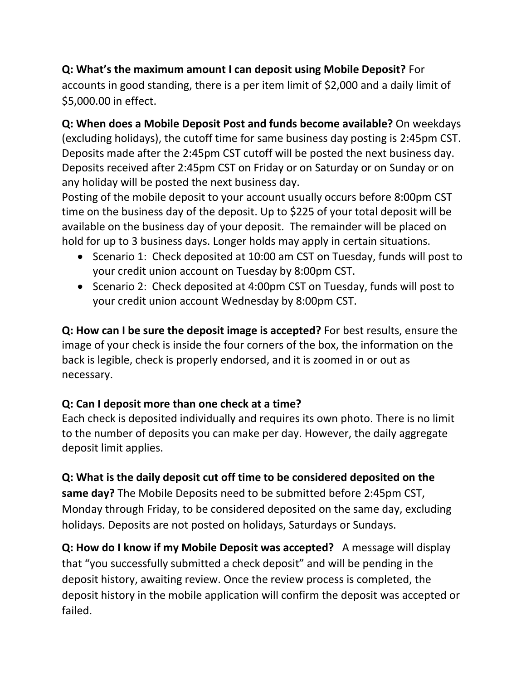### **Q: What's the maximum amount I can deposit using Mobile Deposit?** For accounts in good standing, there is a per item limit of \$2,000 and a daily limit of \$5,000.00 in effect.

**Q: When does a Mobile Deposit Post and funds become available?** On weekdays (excluding holidays), the cutoff time for same business day posting is 2:45pm CST. Deposits made after the 2:45pm CST cutoff will be posted the next business day. Deposits received after 2:45pm CST on Friday or on Saturday or on Sunday or on any holiday will be posted the next business day.

Posting of the mobile deposit to your account usually occurs before 8:00pm CST time on the business day of the deposit. Up to \$225 of your total deposit will be available on the business day of your deposit. The remainder will be placed on hold for up to 3 business days. Longer holds may apply in certain situations.

- Scenario 1: Check deposited at 10:00 am CST on Tuesday, funds will post to your credit union account on Tuesday by 8:00pm CST.
- Scenario 2: Check deposited at 4:00pm CST on Tuesday, funds will post to your credit union account Wednesday by 8:00pm CST.

**Q: How can I be sure the deposit image is accepted?** For best results, ensure the image of your check is inside the four corners of the box, the information on the back is legible, check is properly endorsed, and it is zoomed in or out as necessary.

# **Q: Can I deposit more than one check at a time?**

Each check is deposited individually and requires its own photo. There is no limit to the number of deposits you can make per day. However, the daily aggregate deposit limit applies.

# **Q: What is the daily deposit cut off time to be considered deposited on the**

**same day?** The Mobile Deposits need to be submitted before 2:45pm CST, Monday through Friday, to be considered deposited on the same day, excluding holidays. Deposits are not posted on holidays, Saturdays or Sundays.

**Q: How do I know if my Mobile Deposit was accepted?** A message will display that "you successfully submitted a check deposit" and will be pending in the deposit history, awaiting review. Once the review process is completed, the deposit history in the mobile application will confirm the deposit was accepted or failed.